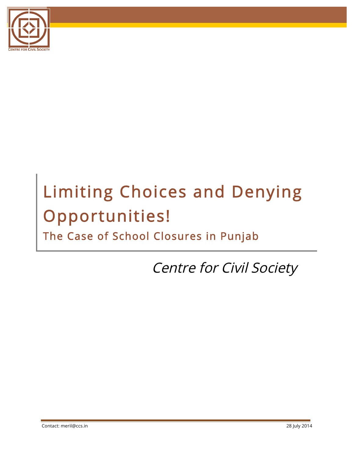

# Limiting Choices and Denying Opportunities!

The Case of School Closures in Punjab

Centre for Civil Society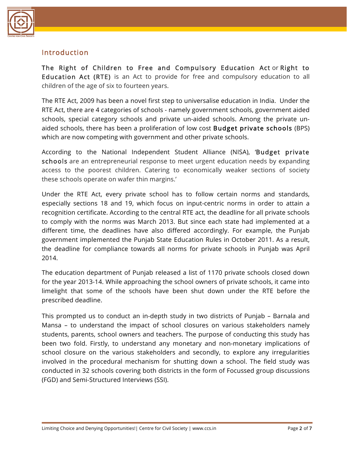

## **Introduction**

The Right of Children to Free and Compulsory Education Act or Right to Education Act (RTE) is an Act to provide for free and compulsory education to all children of the age of six to fourteen years.

The RTE Act, 2009 has been a novel first step to universalise education in India. Under the RTE Act, there are 4 categories of schools - namely government schools, government aided schools, special category schools and private un-aided schools. Among the private unaided schools, there has been a proliferation of low cost Budget private schools (BPS) which are now competing with government and other private schools.

According to the National Independent Student Alliance (NISA), 'Budget private schools are an entrepreneurial response to meet urgent education needs by expanding access to the poorest children. Catering to economically weaker sections of society these schools operate on wafer thin margins.'

Under the RTE Act, every private school has to follow certain norms and standards, especially sections 18 and 19, which focus on input-centric norms in order to attain a recognition certificate. According to the central RTE act, the deadline for all private schools to comply with the norms was March 2013. But since each state had implemented at a different time, the deadlines have also differed accordingly. For example, the Punjab government implemented the Punjab State Education Rules in October 2011. As a result, the deadline for compliance towards all norms for private schools in Punjab was April 2014.

The education department of Punjab released a list of 1170 private schools closed down for the year 2013-14. While approaching the school owners of private schools, it came into limelight that some of the schools have been shut down under the RTE before the prescribed deadline.

This prompted us to conduct an in-depth study in two districts of Punjab – Barnala and Mansa – to understand the impact of school closures on various stakeholders namely students, parents, school owners and teachers. The purpose of conducting this study has been two fold. Firstly, to understand any monetary and non-monetary implications of school closure on the various stakeholders and secondly, to explore any irregularities involved in the procedural mechanism for shutting down a school. The field study was conducted in 32 schools covering both districts in the form of Focussed group discussions (FGD) and Semi-Structured Interviews (SSI).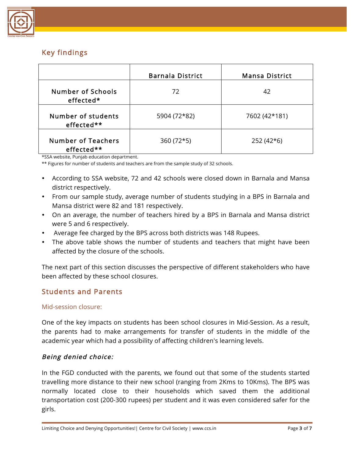

## Key findings

|                                         | <b>Barnala District</b> | <b>Mansa District</b> |
|-----------------------------------------|-------------------------|-----------------------|
| Number of Schools<br>effected*          | 72                      | 42                    |
| Number of students<br>effected**        | 5904 (72*82)            | 7602 (42*181)         |
| <b>Number of Teachers</b><br>effected** | $360(72*5)$             | $252(42*6)$           |

\*SSA website, Punjab education department.

\*\* Figures for number of students and teachers are from the sample study of 32 schools.

- According to SSA website, 72 and 42 schools were closed down in Barnala and Mansa district respectively.
- From our sample study, average number of students studying in a BPS in Barnala and Mansa district were 82 and 181 respectively.
- On an average, the number of teachers hired by a BPS in Barnala and Mansa district were 5 and 6 respectively.
- Average fee charged by the BPS across both districts was 148 Rupees.
- The above table shows the number of students and teachers that might have been affected by the closure of the schools.

The next part of this section discusses the perspective of different stakeholders who have been affected by these school closures.

## Students and Parents

#### Mid-session closure:

One of the key impacts on students has been school closures in Mid-Session. As a result, the parents had to make arrangements for transfer of students in the middle of the academic year which had a possibility of affecting children's learning levels.

#### Being denied choice:

In the FGD conducted with the parents, we found out that some of the students started travelling more distance to their new school (ranging from 2Kms to 10Kms). The BPS was normally located close to their households which saved them the additional transportation cost (200-300 rupees) per student and it was even considered safer for the girls.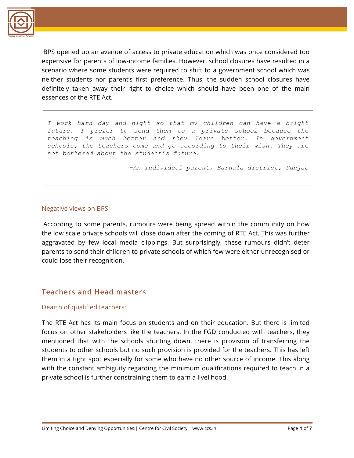

BPS opened up an avenue of access to private education which was once considered too expensive for parents of low-income families. However, school closures have resulted in a scenario where some students were required to shift to a government school which was neither students nor parent's first preference. Thus, the sudden school closures have definitely taken away their right to choice which should have been one of the main essences of the RTE Act.

*I work hard day and night so that my children can have a bright future. I prefer to send them to a private school because the teaching is much better and they learn better. In government schools, the teachers come and go according to their wish. They are not bothered about the student's future.* 

*-An Individual parent, Barnala district, Punjab*

#### Negative views on BPS:

According to some parents, rumours were being spread within the community on how the low scale private schools will close down after the coming of RTE Act. This was further aggravated by few local media clippings. But surprisingly, these rumours didn't deter parents to send their children to private schools of which few were either unrecognised or could lose their recognition.

## Teachers and Head masters

#### Dearth of qualified teachers:

The RTE Act has its main focus on students and on their education. But there is limited focus on other stakeholders like the teachers. In the FGD conducted with teachers, they mentioned that with the schools shutting down, there is provision of transferring the students to other schools but no such provision is provided for the teachers. This has left them in a tight spot especially for some who have no other source of income. This along with the constant ambiguity regarding the minimum qualifications required to teach in a private school is further constraining them to earn a livelihood.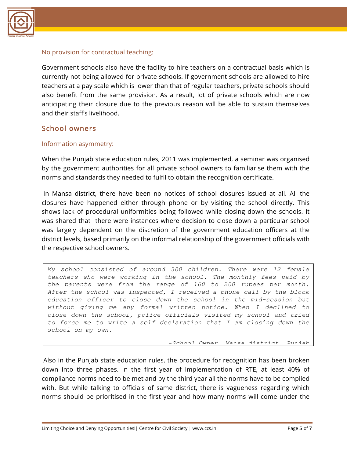

#### No provision for contractual teaching:

Government schools also have the facility to hire teachers on a contractual basis which is currently not being allowed for private schools. If government schools are allowed to hire teachers at a pay scale which is lower than that of regular teachers, private schools should also benefit from the same provision. As a result, lot of private schools which are now anticipating their closure due to the previous reason will be able to sustain themselves and their staff's livelihood.

#### School owners

#### Information asymmetry:

When the Punjab state education rules, 2011 was implemented, a seminar was organised by the government authorities for all private school owners to familiarise them with the norms and standards they needed to fulfil to obtain the recognition certificate.

In Mansa district, there have been no notices of school closures issued at all. All the closures have happened either through phone or by visiting the school directly. This shows lack of procedural uniformities being followed while closing down the schools. It was shared that there were instances where decision to close down a particular school was largely dependent on the discretion of the government education officers at the district levels, based primarily on the informal relationship of the government officials with the respective school owners.

*My school consisted of around 300 children. There were 12 female teachers who were working in the school. The monthly fees paid by the parents were from the range of 160 to 200 rupees per month. After the school was inspected, I received a phone call by the block education officer to close down the school in the mid-session but without giving me any formal written notice. When I declined to close down the school, police officials visited my school and tried to force me to write a self declaration that I am closing down the school on my own.* 

*-School Owner, Mansa district, Punjab*

Also in the Punjab state education rules, the procedure for recognition has been broken down into three phases. In the first year of implementation of RTE, at least 40% of compliance norms need to be met and by the third year all the norms have to be complied with. But while talking to officials of same district, there is vagueness regarding which norms should be prioritised in the first year and how many norms will come under the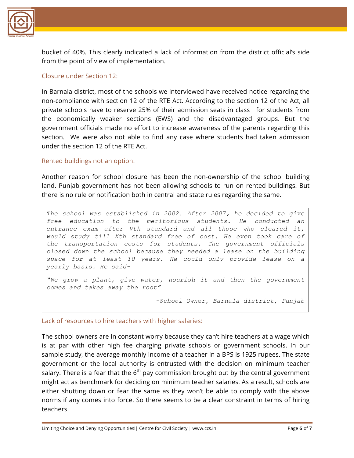

bucket of 40%. This clearly indicated a lack of information from the district official's side from the point of view of implementation.

#### Closure under Section 12:

In Barnala district, most of the schools we interviewed have received notice regarding the non-compliance with section 12 of the RTE Act. According to the section 12 of the Act, all private schools have to reserve 25% of their admission seats in class I for students from the economically weaker sections (EWS) and the disadvantaged groups. But the government officials made no effort to increase awareness of the parents regarding this section. We were also not able to find any case where students had taken admission under the section 12 of the RTE Act.

#### Rented buildings not an option:

Another reason for school closure has been the non-ownership of the school building land. Punjab government has not been allowing schools to run on rented buildings. But there is no rule or notification both in central and state rules regarding the same.

*The school was established in 2002. After 2007, he decided to give free education to the meritorious students. He conducted an entrance exam after Vth standard and all those who cleared it, would study till Xth standard free of cost. He even took care of the transportation costs for students. The government officials closed down the school because they needed a lease on the building space for at least 10 years. He could only provide lease on a yearly basis. He said-*

*"We grow a plant, give water, nourish it and then the government comes and takes away the root"*

*-School Owner, Barnala district, Punjab*

#### Lack of resources to hire teachers with higher salaries:

The school owners are in constant worry because they can't hire teachers at a wage which is at par with other high fee charging private schools or government schools. In our sample study, the average monthly income of a teacher in a BPS is 1925 rupees. The state government or the local authority is entrusted with the decision on minimum teacher salary. There is a fear that the  $6<sup>th</sup>$  pay commission brought out by the central government might act as benchmark for deciding on minimum teacher salaries. As a result, schools are either shutting down or fear the same as they won't be able to comply with the above norms if any comes into force. So there seems to be a clear constraint in terms of hiring teachers.